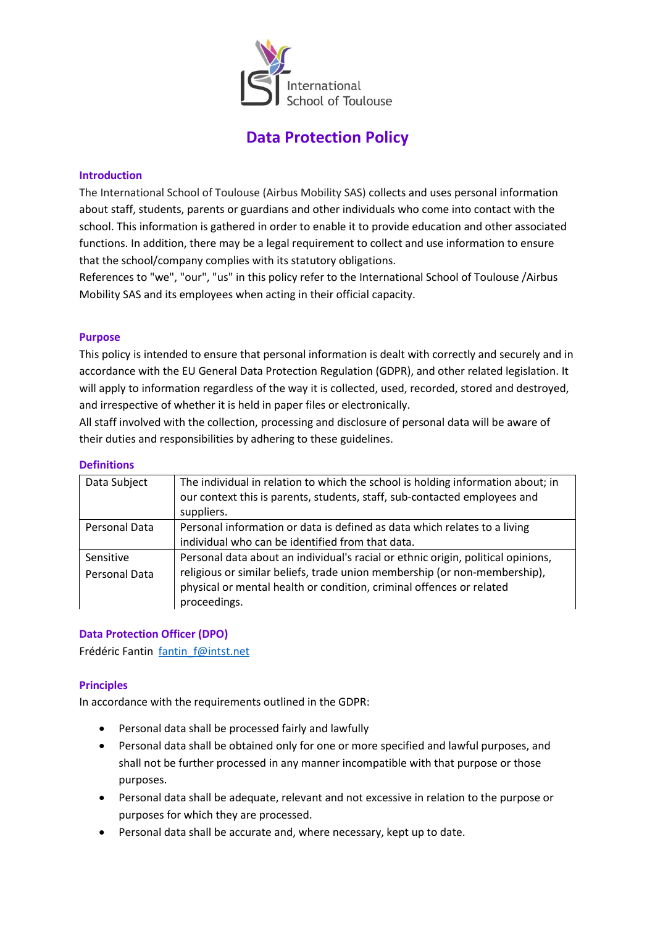

# **Data Protection Policy**

#### **Introduction**

The International School of Toulouse (Airbus Mobility SAS) collects and uses personal information about staff, students, parents or guardians and other individuals who come into contact with the school. This information is gathered in order to enable it to provide education and other associated functions. In addition, there may be a legal requirement to collect and use information to ensure that the school/company complies with its statutory obligations.

References to "we", "our", "us" in this policy refer to the International School of Toulouse /Airbus Mobility SAS and its employees when acting in their official capacity.

## **Purpose**

This policy is intended to ensure that personal information is dealt with correctly and securely and in accordance with the EU General Data Protection Regulation (GDPR), and other related legislation. It will apply to information regardless of the way it is collected, used, recorded, stored and destroyed, and irrespective of whether it is held in paper files or electronically.

All staff involved with the collection, processing and disclosure of personal data will be aware of their duties and responsibilities by adhering to these guidelines.

#### **Definitions**

| Data Subject               | The individual in relation to which the school is holding information about; in<br>our context this is parents, students, staff, sub-contacted employees and<br>suppliers.                                                                            |
|----------------------------|-------------------------------------------------------------------------------------------------------------------------------------------------------------------------------------------------------------------------------------------------------|
| Personal Data              | Personal information or data is defined as data which relates to a living<br>individual who can be identified from that data.                                                                                                                         |
| Sensitive<br>Personal Data | Personal data about an individual's racial or ethnic origin, political opinions,<br>religious or similar beliefs, trade union membership (or non-membership),<br>physical or mental health or condition, criminal offences or related<br>proceedings. |

# **Data Protection Officer (DPO)**

Frédéric Fantin [fantin\\_f@intst.net](mailto:fantin_f@intst.net)

# **Principles**

In accordance with the requirements outlined in the GDPR:

- Personal data shall be processed fairly and lawfully
- Personal data shall be obtained only for one or more specified and lawful purposes, and shall not be further processed in any manner incompatible with that purpose or those purposes.
- Personal data shall be adequate, relevant and not excessive in relation to the purpose or purposes for which they are processed.
- Personal data shall be accurate and, where necessary, kept up to date.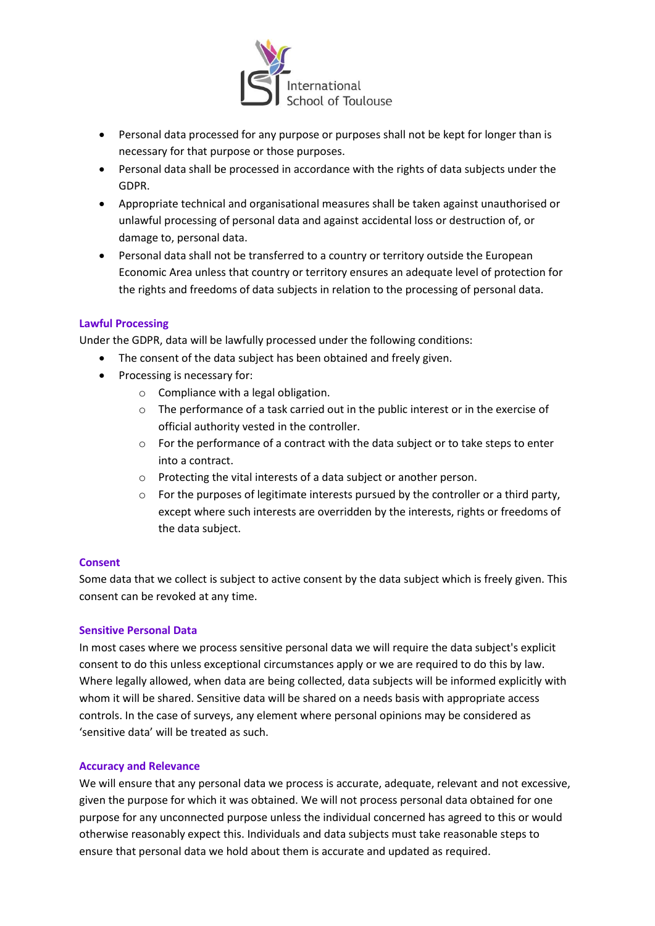

- Personal data processed for any purpose or purposes shall not be kept for longer than is necessary for that purpose or those purposes.
- Personal data shall be processed in accordance with the rights of data subjects under the GDPR.
- Appropriate technical and organisational measures shall be taken against unauthorised or unlawful processing of personal data and against accidental loss or destruction of, or damage to, personal data.
- Personal data shall not be transferred to a country or territory outside the European Economic Area unless that country or territory ensures an adequate level of protection for the rights and freedoms of data subjects in relation to the processing of personal data.

## **Lawful Processing**

Under the GDPR, data will be lawfully processed under the following conditions:

- The consent of the data subject has been obtained and freely given.
- Processing is necessary for:
	- o Compliance with a legal obligation.
	- o The performance of a task carried out in the public interest or in the exercise of official authority vested in the controller.
	- o For the performance of a contract with the data subject or to take steps to enter into a contract.
	- o Protecting the vital interests of a data subject or another person.
	- $\circ$  For the purposes of legitimate interests pursued by the controller or a third party, except where such interests are overridden by the interests, rights or freedoms of the data subject.

#### **Consent**

Some data that we collect is subject to active consent by the data subject which is freely given. This consent can be revoked at any time.

#### **Sensitive Personal Data**

In most cases where we process sensitive personal data we will require the data subject's explicit consent to do this unless exceptional circumstances apply or we are required to do this by law. Where legally allowed, when data are being collected, data subjects will be informed explicitly with whom it will be shared. Sensitive data will be shared on a needs basis with appropriate access controls. In the case of surveys, any element where personal opinions may be considered as 'sensitive data' will be treated as such.

#### **Accuracy and Relevance**

We will ensure that any personal data we process is accurate, adequate, relevant and not excessive, given the purpose for which it was obtained. We will not process personal data obtained for one purpose for any unconnected purpose unless the individual concerned has agreed to this or would otherwise reasonably expect this. Individuals and data subjects must take reasonable steps to ensure that personal data we hold about them is accurate and updated as required.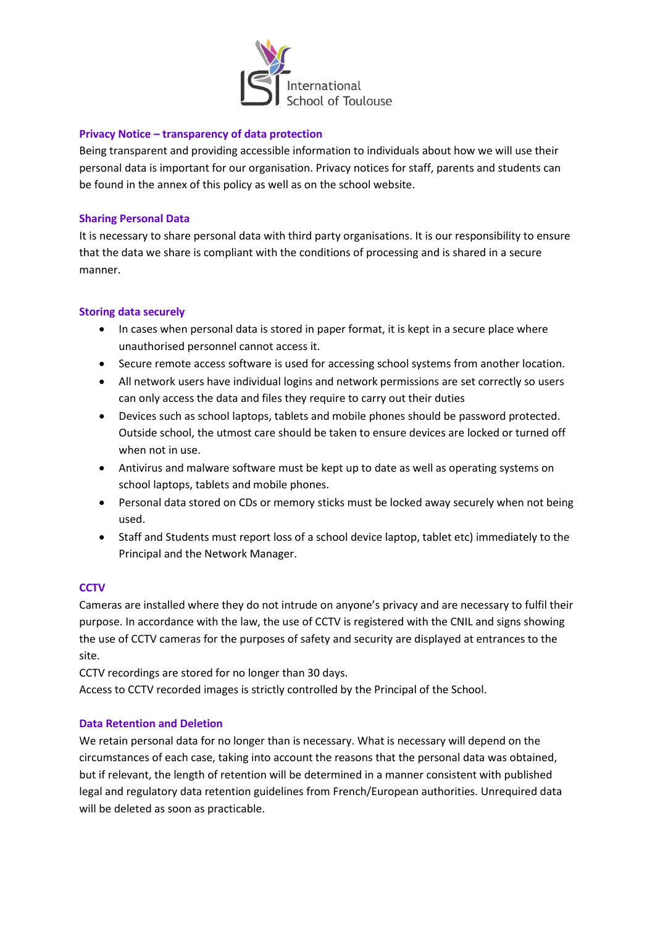

#### **Privacy Notice – transparency of data protection**

Being transparent and providing accessible information to individuals about how we will use their personal data is important for our organisation. Privacy notices for staff, parents and students can be found in the annex of this policy as well as on the school website.

## **Sharing Personal Data**

It is necessary to share personal data with third party organisations. It is our responsibility to ensure that the data we share is compliant with the conditions of processing and is shared in a secure manner.

# **Storing data securely**

- In cases when personal data is stored in paper format, it is kept in a secure place where unauthorised personnel cannot access it.
- Secure remote access software is used for accessing school systems from another location.
- All network users have individual logins and network permissions are set correctly so users can only access the data and files they require to carry out their duties
- Devices such as school laptops, tablets and mobile phones should be password protected. Outside school, the utmost care should be taken to ensure devices are locked or turned off when not in use.
- Antivirus and malware software must be kept up to date as well as operating systems on school laptops, tablets and mobile phones.
- Personal data stored on CDs or memory sticks must be locked away securely when not being used.
- Staff and Students must report loss of a school device laptop, tablet etc) immediately to the Principal and the Network Manager.

# **CCTV**

Cameras are installed where they do not intrude on anyone's privacy and are necessary to fulfil their purpose. In accordance with the law, the use of CCTV is registered with the CNIL and signs showing the use of CCTV cameras for the purposes of safety and security are displayed at entrances to the site.

CCTV recordings are stored for no longer than 30 days. Access to CCTV recorded images is strictly controlled by the Principal of the School.

#### **Data Retention and Deletion**

We retain personal data for no longer than is necessary. What is necessary will depend on the circumstances of each case, taking into account the reasons that the personal data was obtained, but if relevant, the length of retention will be determined in a manner consistent with published legal and regulatory data retention guidelines from French/European authorities. Unrequired data will be deleted as soon as practicable.